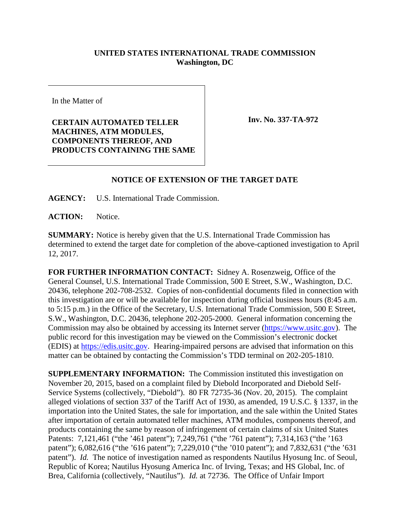## **UNITED STATES INTERNATIONAL TRADE COMMISSION Washington, DC**

In the Matter of

**CERTAIN AUTOMATED TELLER MACHINES, ATM MODULES, COMPONENTS THEREOF, AND PRODUCTS CONTAINING THE SAME** **Inv. No. 337-TA-972**

## **NOTICE OF EXTENSION OF THE TARGET DATE**

**AGENCY:** U.S. International Trade Commission.

**ACTION:** Notice.

**SUMMARY:** Notice is hereby given that the U.S. International Trade Commission has determined to extend the target date for completion of the above-captioned investigation to April 12, 2017.

**FOR FURTHER INFORMATION CONTACT:** Sidney A. Rosenzweig, Office of the General Counsel, U.S. International Trade Commission, 500 E Street, S.W., Washington, D.C. 20436, telephone 202-708-2532. Copies of non-confidential documents filed in connection with this investigation are or will be available for inspection during official business hours (8:45 a.m. to 5:15 p.m.) in the Office of the Secretary, U.S. International Trade Commission, 500 E Street, S.W., Washington, D.C. 20436, telephone 202-205-2000. General information concerning the Commission may also be obtained by accessing its Internet server [\(https://www.usitc.gov\)](https://www.usitc.gov/). The public record for this investigation may be viewed on the Commission's electronic docket (EDIS) at [https://edis.usitc.gov.](https://edis.usitc.gov/) Hearing-impaired persons are advised that information on this matter can be obtained by contacting the Commission's TDD terminal on 202-205-1810.

**SUPPLEMENTARY INFORMATION:** The Commission instituted this investigation on November 20, 2015, based on a complaint filed by Diebold Incorporated and Diebold Self-Service Systems (collectively, "Diebold"). 80 FR 72735-36 (Nov. 20, 2015). The complaint alleged violations of section 337 of the Tariff Act of 1930, as amended, 19 U.S.C. § 1337, in the importation into the United States, the sale for importation, and the sale within the United States after importation of certain automated teller machines, ATM modules, components thereof, and products containing the same by reason of infringement of certain claims of six United States Patents: 7,121,461 ("the '461 patent"); 7,249,761 ("the '761 patent"); 7,314,163 ("the '163 patent"); 6,082,616 ("the '616 patent"); 7,229,010 ("the '010 patent"); and 7,832,631 ("the '631 patent"). *Id.* The notice of investigation named as respondents Nautilus Hyosung Inc. of Seoul, Republic of Korea; Nautilus Hyosung America Inc. of Irving, Texas; and HS Global, Inc. of Brea, California (collectively, "Nautilus"). *Id.* at 72736. The Office of Unfair Import